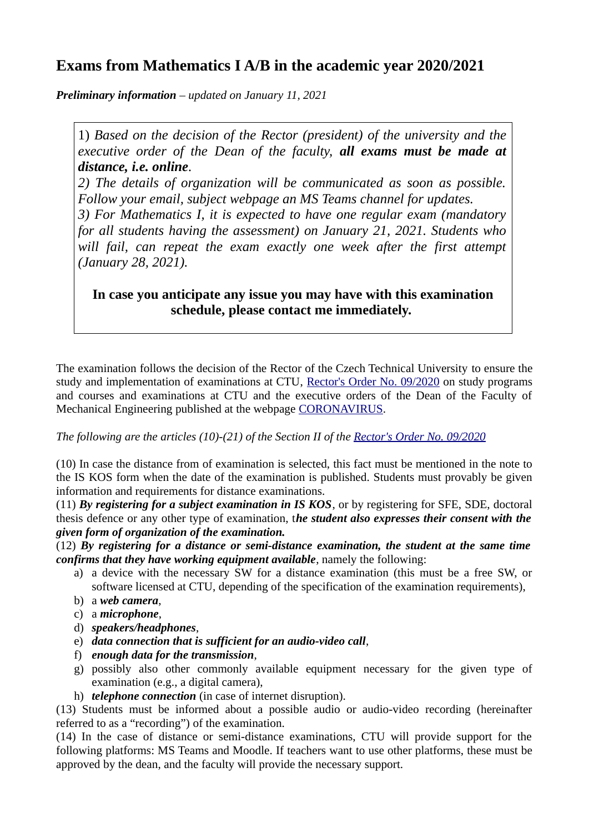## **Exams from Mathematics I A/B in the academic year 2020/2021**

*Preliminary information – updated on January 11, 2021*

1) *Based on the decision of the Rector (president) of the university and the executive order of the Dean of the faculty, all exams must be made at distance, i.e. online.* 

*2) The details of organization will be communicated as soon as possible. Follow your email, subject webpage an MS Teams channel for updates.*

*3) For Mathematics I, it is expected to have one regular exam (mandatory for all students having the assessment) on January 21, 2021. Students who will fail, can repeat the exam exactly one week after the first attempt (January 28, 2021).*

**In case you anticipate any issue you may have with this examination schedule, please contact me immediately.** 

The examination follows the decision of the Rector of the Czech Technical University to ensure the study and implementation of examinations at CTU, [Rector's Order No. 09/2020](https://www.cvut.cz/sites/default/files/content/33d50aa3-800f-4482-9938-bd3f8fff7b95/en/20210104-3-complete-version-of-rectors-order-no-092020.pdf) on study programs and courses and examinations at CTU and the executive orders of the Dean of the Faculty of Mechanical Engineering published at the webpage [CORONAVIRUS](https://www.fs.cvut.cz/en/faculty/legislation/coronavirus-information/).

*The following are the articles (10)-(21) of the Section II of the <u>[Rector's Order No. 09/2020](https://www.cvut.cz/sites/default/files/content/33d50aa3-800f-4482-9938-bd3f8fff7b95/en/20210104-3-complete-version-of-rectors-order-no-092020.pdf)</u>* 

(10) In case the distance from of examination is selected, this fact must be mentioned in the note to the IS KOS form when the date of the examination is published. Students must provably be given information and requirements for distance examinations.

(11) *By registering for a subject examination in IS KOS*, or by registering for SFE, SDE, doctoral thesis defence or any other type of examination, t*he student also expresses their consent with the given form of organization of the examination.*

(12) *By registering for a distance or semi‐distance examination, the student at the same time confirms that they have working equipment available*, namely the following:

- a) a device with the necessary SW for a distance examination (this must be a free SW, or software licensed at CTU, depending of the specification of the examination requirements),
- b) a *web camera*,
- c) a *microphone*,
- d) *speakers/headphones*,
- e) *data connection that is sufficient for an audio‐video call*,
- f) *enough data for the transmission*,
- g) possibly also other commonly available equipment necessary for the given type of examination (e.g., a digital camera),
- h) *telephone connection* (in case of internet disruption).

(13) Students must be informed about a possible audio or audio‐video recording (hereinafter referred to as a "recording") of the examination.

(14) In the case of distance or semi‐distance examinations, CTU will provide support for the following platforms: MS Teams and Moodle. If teachers want to use other platforms, these must be approved by the dean, and the faculty will provide the necessary support.